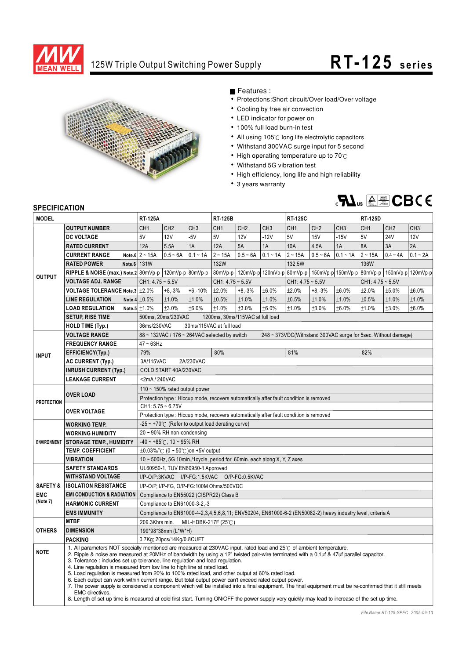

## 125W Triple Output Switching Power Supply **RT-125** series



Features :

- Protections: Short circuit/Over load/Over voltage
- Cooling by free air convection
- LED indicator for power on
- 100% full load burn-in test
- All using 105°C long life electrolytic capacitors
- Withstand 300VAC surge input for 5 second
- $\bullet$  High operating temperature up to 70 $^\circ$ C
- Withstand 5G vibration test
- High efficiency, long life and high reliability
- 3 years warranty



## **SPECIFICATION**

| <b>SPEUIFIUAI IUN</b>  |                                                                                                                                                                                                                                                                 |                                                                                                                                                                                                          |                                                                                                                                                            |                                           |                    |                 |                 |                    |                 |                 |                    |                 |                 |  |
|------------------------|-----------------------------------------------------------------------------------------------------------------------------------------------------------------------------------------------------------------------------------------------------------------|----------------------------------------------------------------------------------------------------------------------------------------------------------------------------------------------------------|------------------------------------------------------------------------------------------------------------------------------------------------------------|-------------------------------------------|--------------------|-----------------|-----------------|--------------------|-----------------|-----------------|--------------------|-----------------|-----------------|--|
| <b>MODEL</b>           |                                                                                                                                                                                                                                                                 | <b>RT-125A</b>                                                                                                                                                                                           |                                                                                                                                                            |                                           | <b>RT-125B</b>     |                 |                 | <b>RT-125C</b>     |                 |                 | <b>RT-125D</b>     |                 |                 |  |
| <b>OUTPUT</b>          | <b>OUTPUT NUMBER</b>                                                                                                                                                                                                                                            | CH <sub>1</sub>                                                                                                                                                                                          | CH <sub>2</sub>                                                                                                                                            | CH <sub>3</sub>                           | CH <sub>1</sub>    | CH <sub>2</sub> | CH <sub>3</sub> | CH <sub>1</sub>    | CH <sub>2</sub> | CH <sub>3</sub> | CH <sub>1</sub>    | CH <sub>2</sub> | CH <sub>3</sub> |  |
|                        | <b>DC VOLTAGE</b>                                                                                                                                                                                                                                               | 5V                                                                                                                                                                                                       | 12V                                                                                                                                                        | $-5V$                                     | 5V                 | 12V             | $-12V$          | 5V                 | <b>15V</b>      | $-15V$          | 5V                 | <b>24V</b>      | <b>12V</b>      |  |
|                        | <b>RATED CURRENT</b>                                                                                                                                                                                                                                            | 12A                                                                                                                                                                                                      | 5.5A                                                                                                                                                       | 1A                                        | 12A                | 5A              | 1A              | 10A                | 4.5A            | 1A              | 8A                 | 3A              | 2A              |  |
|                        | <b>CURRENT RANGE</b>                                                                                                                                                                                                                                            | Note.6 $2 \sim 15A$                                                                                                                                                                                      | $0.5 - 6A$                                                                                                                                                 | $0.1 - 1A$                                | $2 - 15A$          | $0.5 - 6A$      | $0.1 - 1A$      | $2 - 15A$          | $0.5 - 6A$      | $0.1 - 1A$      | $2 - 15A$          | $0.4 - 4A$      | $0.1 - 2A$      |  |
|                        | <b>RATED POWER</b><br>Note.6                                                                                                                                                                                                                                    | <b>131W</b>                                                                                                                                                                                              |                                                                                                                                                            |                                           | <b>132W</b>        |                 |                 | 132.5W             |                 |                 | 136W               |                 |                 |  |
|                        | RIPPLE & NOISE (max.) Note.2 80mVp-p   120mVp-p   80mVp-p   80mVp-p   120mVp-p   120mVp-p   80mVp-p   150mVp-p   150mVp-p   80mVp-p   150mVp-p   150mVp-p   120mVp-p                                                                                            |                                                                                                                                                                                                          |                                                                                                                                                            |                                           |                    |                 |                 |                    |                 |                 |                    |                 |                 |  |
|                        | <b>VOLTAGE ADJ. RANGE</b>                                                                                                                                                                                                                                       | CH1: 4.75 ~ 5.5V                                                                                                                                                                                         |                                                                                                                                                            |                                           | $CH1: 4.75 - 5.5V$ |                 |                 | $CH1: 4.75 - 5.5V$ |                 |                 | $CH1: 4.75 - 5.5V$ |                 |                 |  |
|                        | <b>VOLTAGE TOLERANCE Note.3 ±2.0%</b>                                                                                                                                                                                                                           |                                                                                                                                                                                                          | $+8,-3%$                                                                                                                                                   | $+6,-10%$                                 | ±2.0%              | $+8,-3%$        | ±6.0%           | ±2.0%              | $+8,-3%$        | ±6.0%           | ±2.0%              | ±5.0%           | ±6.0%           |  |
|                        | <b>LINE REGULATION</b>                                                                                                                                                                                                                                          | Note.4 $\pm 0.5%$                                                                                                                                                                                        | ±1.0%                                                                                                                                                      | ±1.0%                                     | ±0.5%              | ±1.0%           | ±1.0%           | ±0.5%              | ±1.0%           | ±1.0%           | ±0.5%              | ±1.0%           | ±1.0%           |  |
|                        | <b>LOAD REGULATION</b>                                                                                                                                                                                                                                          | Note.5 $\pm$ 1.0%                                                                                                                                                                                        | ±3.0%                                                                                                                                                      | ±6.0%                                     | ±1.0%              | ±3.0%           | ±6.0%           | ±1.0%              | ±3.0%           | ±6.0%           | ±1.0%              | ±3.0%           | ±6.0%           |  |
|                        | <b>SETUP, RISE TIME</b>                                                                                                                                                                                                                                         |                                                                                                                                                                                                          | 500ms, 20ms/230VAC<br>1200ms, 30ms/115VAC at full load                                                                                                     |                                           |                    |                 |                 |                    |                 |                 |                    |                 |                 |  |
|                        | HOLD TIME (Typ.)                                                                                                                                                                                                                                                | 36ms/230VAC<br>30ms/115VAC at full load                                                                                                                                                                  |                                                                                                                                                            |                                           |                    |                 |                 |                    |                 |                 |                    |                 |                 |  |
| <b>INPUT</b>           | <b>VOLTAGE RANGE</b>                                                                                                                                                                                                                                            | 88 ~ 132VAC / 176 ~ 264VAC selected by switch<br>248 ~ 373VDC(Withstand 300VAC surge for 5sec. Without damage)                                                                                           |                                                                                                                                                            |                                           |                    |                 |                 |                    |                 |                 |                    |                 |                 |  |
|                        | <b>FREQUENCY RANGE</b>                                                                                                                                                                                                                                          | $47 - 63$ Hz                                                                                                                                                                                             |                                                                                                                                                            |                                           |                    |                 |                 |                    |                 |                 |                    |                 |                 |  |
|                        | EFFICIENCY(Typ.)                                                                                                                                                                                                                                                | 79%                                                                                                                                                                                                      |                                                                                                                                                            |                                           | 80%                |                 |                 | 81%                |                 |                 | 82%                |                 |                 |  |
|                        | <b>AC CURRENT (Typ.)</b>                                                                                                                                                                                                                                        | 3A/115VAC<br>2A/230VAC                                                                                                                                                                                   |                                                                                                                                                            |                                           |                    |                 |                 |                    |                 |                 |                    |                 |                 |  |
|                        | <b>INRUSH CURRENT (Typ.)</b>                                                                                                                                                                                                                                    | COLD START 40A/230VAC                                                                                                                                                                                    |                                                                                                                                                            |                                           |                    |                 |                 |                    |                 |                 |                    |                 |                 |  |
|                        | <b>LEAKAGE CURRENT</b>                                                                                                                                                                                                                                          | <2mA/240VAC                                                                                                                                                                                              |                                                                                                                                                            |                                           |                    |                 |                 |                    |                 |                 |                    |                 |                 |  |
| <b>PROTECTION</b>      | <b>OVER LOAD</b>                                                                                                                                                                                                                                                | 110 ~ 150% rated output power                                                                                                                                                                            |                                                                                                                                                            |                                           |                    |                 |                 |                    |                 |                 |                    |                 |                 |  |
|                        |                                                                                                                                                                                                                                                                 | Protection type : Hiccup mode, recovers automatically after fault condition is removed                                                                                                                   |                                                                                                                                                            |                                           |                    |                 |                 |                    |                 |                 |                    |                 |                 |  |
|                        |                                                                                                                                                                                                                                                                 | $CH1: 5.75 - 6.75V$                                                                                                                                                                                      |                                                                                                                                                            |                                           |                    |                 |                 |                    |                 |                 |                    |                 |                 |  |
|                        | <b>OVER VOLTAGE</b>                                                                                                                                                                                                                                             | Protection type : Hiccup mode, recovers automatically after fault condition is removed                                                                                                                   |                                                                                                                                                            |                                           |                    |                 |                 |                    |                 |                 |                    |                 |                 |  |
| <b>ENVIRONMENT</b>     | <b>WORKING TEMP.</b>                                                                                                                                                                                                                                            | $-25 \sim +70^{\circ}$ (Refer to output load derating curve)                                                                                                                                             |                                                                                                                                                            |                                           |                    |                 |                 |                    |                 |                 |                    |                 |                 |  |
|                        | <b>WORKING HUMIDITY</b>                                                                                                                                                                                                                                         | $20 \sim 90\%$ RH non-condensing                                                                                                                                                                         |                                                                                                                                                            |                                           |                    |                 |                 |                    |                 |                 |                    |                 |                 |  |
|                        | <b>STORAGE TEMP., HUMIDITY</b>                                                                                                                                                                                                                                  | $-40 \sim +85^{\circ}$ C, 10 ~ 95% RH                                                                                                                                                                    |                                                                                                                                                            |                                           |                    |                 |                 |                    |                 |                 |                    |                 |                 |  |
|                        | <b>TEMP. COEFFICIENT</b>                                                                                                                                                                                                                                        |                                                                                                                                                                                                          |                                                                                                                                                            | $\pm 0.03\%$ /°C (0 ~ 50°C) on +5V output |                    |                 |                 |                    |                 |                 |                    |                 |                 |  |
|                        | <b>VIBRATION</b>                                                                                                                                                                                                                                                |                                                                                                                                                                                                          | 10 ~ 500Hz, 5G 10min./1cycle, period for 60min. each along X, Y, Z axes                                                                                    |                                           |                    |                 |                 |                    |                 |                 |                    |                 |                 |  |
|                        | <b>SAFETY STANDARDS</b><br>UL60950-1, TUV EN60950-1 Approved                                                                                                                                                                                                    |                                                                                                                                                                                                          |                                                                                                                                                            |                                           |                    |                 |                 |                    |                 |                 |                    |                 |                 |  |
|                        | <b>WITHSTAND VOLTAGE</b>                                                                                                                                                                                                                                        | I/P-O/P:3KVAC I/P-FG:1.5KVAC O/P-FG:0.5KVAC                                                                                                                                                              |                                                                                                                                                            |                                           |                    |                 |                 |                    |                 |                 |                    |                 |                 |  |
| <b>SAFETY &amp;</b>    | <b>ISOLATION RESISTANCE</b>                                                                                                                                                                                                                                     | I/P-O/P, I/P-FG, O/P-FG:100M Ohms/500VDC<br>Compliance to EN55022 (CISPR22) Class B                                                                                                                      |                                                                                                                                                            |                                           |                    |                 |                 |                    |                 |                 |                    |                 |                 |  |
| <b>EMC</b><br>(Note 7) | <b>EMI CONDUCTION &amp; RADIATION</b>                                                                                                                                                                                                                           |                                                                                                                                                                                                          |                                                                                                                                                            |                                           |                    |                 |                 |                    |                 |                 |                    |                 |                 |  |
|                        | <b>HARMONIC CURRENT</b>                                                                                                                                                                                                                                         | Compliance to EN61000-3-2,-3                                                                                                                                                                             |                                                                                                                                                            |                                           |                    |                 |                 |                    |                 |                 |                    |                 |                 |  |
|                        | <b>EMS IMMUNITY</b>                                                                                                                                                                                                                                             | Compliance to EN61000-4-2,3,4,5,6,8,11; ENV50204, EN61000-6-2 (EN50082-2) heavy industry level, criteria A                                                                                               |                                                                                                                                                            |                                           |                    |                 |                 |                    |                 |                 |                    |                 |                 |  |
| <b>OTHERS</b>          | <b>MTBF</b>                                                                                                                                                                                                                                                     | 209.3Khrs min.<br>MIL-HDBK-217F (25℃)<br>199*98*38mm (L*W*H)                                                                                                                                             |                                                                                                                                                            |                                           |                    |                 |                 |                    |                 |                 |                    |                 |                 |  |
|                        | <b>DIMENSION</b>                                                                                                                                                                                                                                                |                                                                                                                                                                                                          |                                                                                                                                                            |                                           |                    |                 |                 |                    |                 |                 |                    |                 |                 |  |
|                        | <b>PACKING</b>                                                                                                                                                                                                                                                  | 0.7Kg; 20pcs/14Kg/0.8CUFT                                                                                                                                                                                |                                                                                                                                                            |                                           |                    |                 |                 |                    |                 |                 |                    |                 |                 |  |
| <b>NOTE</b>            | 1. All parameters NOT specially mentioned are measured at 230VAC input, rated load and 25°C of ambient temperature.<br>2. Ripple & noise are measured at 20MHz of bandwidth by using a 12" twisted pair-wire terminated with a 0.1uf & 47uf parallel capacitor. |                                                                                                                                                                                                          |                                                                                                                                                            |                                           |                    |                 |                 |                    |                 |                 |                    |                 |                 |  |
|                        |                                                                                                                                                                                                                                                                 |                                                                                                                                                                                                          | 3. Tolerance : includes set up tolerance, line regulation and load regulation.<br>4. Line regulation is measured from low line to high line at rated load. |                                           |                    |                 |                 |                    |                 |                 |                    |                 |                 |  |
|                        |                                                                                                                                                                                                                                                                 | 5. Load regulation is measured from 20% to 100% rated load, and other output at 60% rated load.<br>6. Each output can work within current range. But total output power can't exceed rated output power. |                                                                                                                                                            |                                           |                    |                 |                 |                    |                 |                 |                    |                 |                 |  |
|                        |                                                                                                                                                                                                                                                                 |                                                                                                                                                                                                          |                                                                                                                                                            |                                           |                    |                 |                 |                    |                 |                 |                    |                 |                 |  |
|                        | EMC directives.                                                                                                                                                                                                                                                 | 7. The power supply is considered a component which will be installed into a final equipment. The final equipment must be re-confirmed that it still meets                                               |                                                                                                                                                            |                                           |                    |                 |                 |                    |                 |                 |                    |                 |                 |  |
|                        |                                                                                                                                                                                                                                                                 | 8. Length of set up time is measured at cold first start. Turning ON/OFF the power supply very quickly may lead to increase of the set up time.                                                          |                                                                                                                                                            |                                           |                    |                 |                 |                    |                 |                 |                    |                 |                 |  |